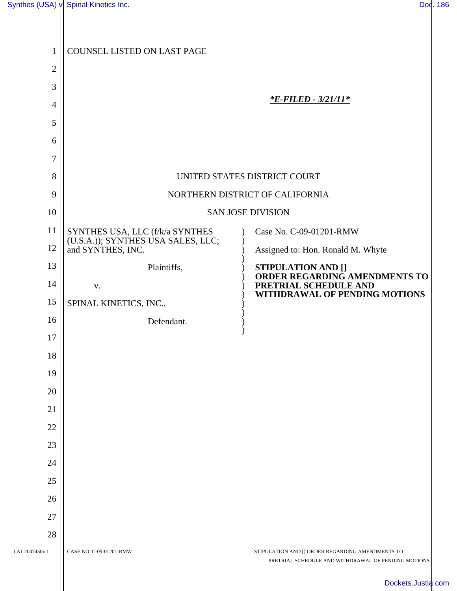| 1                    | COUNSEL LISTED ON LAST PAGE                                           |                                                                                                         |  |
|----------------------|-----------------------------------------------------------------------|---------------------------------------------------------------------------------------------------------|--|
| $\mathbf{2}$         |                                                                       |                                                                                                         |  |
| 3                    |                                                                       |                                                                                                         |  |
| $\overline{4}$       |                                                                       | <u>*E-FILED - 3/21/11*</u>                                                                              |  |
| 5                    |                                                                       |                                                                                                         |  |
| 6                    |                                                                       |                                                                                                         |  |
| 7                    |                                                                       |                                                                                                         |  |
| 8                    |                                                                       | UNITED STATES DISTRICT COURT                                                                            |  |
| 9                    |                                                                       | NORTHERN DISTRICT OF CALIFORNIA                                                                         |  |
| 10                   | <b>SAN JOSE DIVISION</b>                                              |                                                                                                         |  |
| 11                   | SYNTHES USA, LLC (f/k/a SYNTHES<br>(U.S.A.)); SYNTHES USA SALES, LLC; | Case No. C-09-01201-RMW                                                                                 |  |
| 12                   | and SYNTHES, INC.                                                     | Assigned to: Hon. Ronald M. Whyte                                                                       |  |
| 13                   | Plaintiffs,                                                           | <b>STIPULATION AND []</b><br>ORDER REGARDING AMENDMENTS TO                                              |  |
| 14                   | V.                                                                    | PRETRIAL SCHEDULE AND<br>WITHDRAWAL OF PENDING MOTIONS                                                  |  |
| 15                   | SPINAL KINETICS, INC.,                                                |                                                                                                         |  |
| 16                   | Defendant.                                                            |                                                                                                         |  |
| 17                   |                                                                       |                                                                                                         |  |
| 18                   |                                                                       |                                                                                                         |  |
| 19                   |                                                                       |                                                                                                         |  |
| 20                   |                                                                       |                                                                                                         |  |
| 21                   |                                                                       |                                                                                                         |  |
| 22                   |                                                                       |                                                                                                         |  |
| 23                   |                                                                       |                                                                                                         |  |
| 24                   |                                                                       |                                                                                                         |  |
| 25                   |                                                                       |                                                                                                         |  |
| 26                   |                                                                       |                                                                                                         |  |
| 27                   |                                                                       |                                                                                                         |  |
| 28<br>LA1 2047450v.1 | CASE NO. C-09-01201-RMW                                               |                                                                                                         |  |
|                      |                                                                       | STIPULATION AND [] ORDER REGARDING AMENDMENTS TO<br>PRETRIAL SCHEDULE AND WITHDRAWAL OF PENDING MOTIONS |  |
|                      |                                                                       | Dockets.Justia.c                                                                                        |  |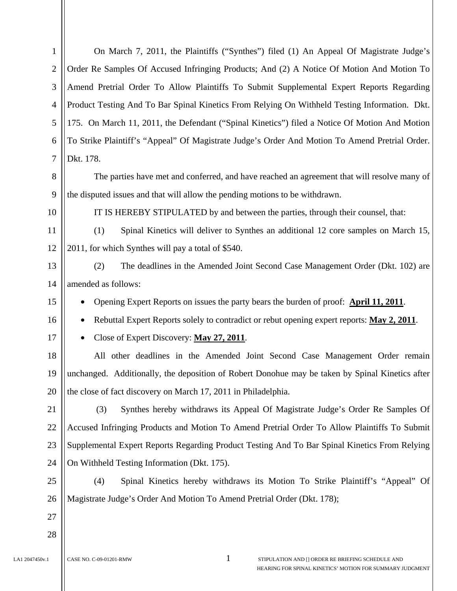1 2 3 4 5 6 7 8 9 10 11 12 13 14 15 16 17 18 19 20 21 22 23 24 25 26 27 28 LA1 2047450v.1 CASE NO. C-09-01201-RMW 1 STIPULATION AND [] ORDER RE BRIEFING SCHEDULE AND On March 7, 2011, the Plaintiffs ("Synthes") filed (1) An Appeal Of Magistrate Judge's Order Re Samples Of Accused Infringing Products; And (2) A Notice Of Motion And Motion To Amend Pretrial Order To Allow Plaintiffs To Submit Supplemental Expert Reports Regarding Product Testing And To Bar Spinal Kinetics From Relying On Withheld Testing Information. Dkt. 175. On March 11, 2011, the Defendant ("Spinal Kinetics") filed a Notice Of Motion And Motion To Strike Plaintiff's "Appeal" Of Magistrate Judge's Order And Motion To Amend Pretrial Order. Dkt. 178. The parties have met and conferred, and have reached an agreement that will resolve many of the disputed issues and that will allow the pending motions to be withdrawn. IT IS HEREBY STIPULATED by and between the parties, through their counsel, that: (1) Spinal Kinetics will deliver to Synthes an additional 12 core samples on March 15, 2011, for which Synthes will pay a total of \$540. (2) The deadlines in the Amended Joint Second Case Management Order (Dkt. 102) are amended as follows: • Opening Expert Reports on issues the party bears the burden of proof: **April 11, 2011**. • Rebuttal Expert Reports solely to contradict or rebut opening expert reports: **May 2, 2011**. • Close of Expert Discovery: **May 27, 2011**. All other deadlines in the Amended Joint Second Case Management Order remain unchanged. Additionally, the deposition of Robert Donohue may be taken by Spinal Kinetics after the close of fact discovery on March 17, 2011 in Philadelphia. (3) Synthes hereby withdraws its Appeal Of Magistrate Judge's Order Re Samples Of Accused Infringing Products and Motion To Amend Pretrial Order To Allow Plaintiffs To Submit Supplemental Expert Reports Regarding Product Testing And To Bar Spinal Kinetics From Relying On Withheld Testing Information (Dkt. 175). (4) Spinal Kinetics hereby withdraws its Motion To Strike Plaintiff's "Appeal" Of Magistrate Judge's Order And Motion To Amend Pretrial Order (Dkt. 178);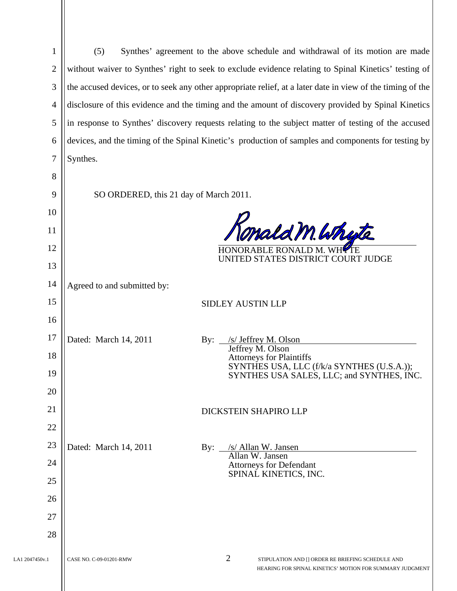| 1              | Synthes' agreement to the above schedule and withdrawal of its motion are made<br>(5)                      |                                                                               |  |  |
|----------------|------------------------------------------------------------------------------------------------------------|-------------------------------------------------------------------------------|--|--|
| $\overline{2}$ | without waiver to Synthes' right to seek to exclude evidence relating to Spinal Kinetics' testing of       |                                                                               |  |  |
| 3              | the accused devices, or to seek any other appropriate relief, at a later date in view of the timing of the |                                                                               |  |  |
| $\overline{4}$ | disclosure of this evidence and the timing and the amount of discovery provided by Spinal Kinetics         |                                                                               |  |  |
| 5              | in response to Synthes' discovery requests relating to the subject matter of testing of the accused        |                                                                               |  |  |
| 6              | devices, and the timing of the Spinal Kinetic's production of samples and components for testing by        |                                                                               |  |  |
| $\overline{7}$ | Synthes.                                                                                                   |                                                                               |  |  |
| 8              |                                                                                                            |                                                                               |  |  |
| 9              | SO ORDERED, this 21 day of March 2011.                                                                     |                                                                               |  |  |
| 10             |                                                                                                            |                                                                               |  |  |
| 11             |                                                                                                            | mald M. Whyte                                                                 |  |  |
| 12             |                                                                                                            | <b>HONORABLE RONALD</b><br>UNITED STATES DISTRICT COURT JUDGE                 |  |  |
| 13             |                                                                                                            |                                                                               |  |  |
| 14             | Agreed to and submitted by:                                                                                |                                                                               |  |  |
| 15             |                                                                                                            | <b>SIDLEY AUSTIN LLP</b>                                                      |  |  |
| 16             |                                                                                                            |                                                                               |  |  |
| 17             | Dated: March 14, 2011                                                                                      | /s/ Jeffrey M. Olson<br>$\mathbf{By:}$<br>Jeffrey M. Olson                    |  |  |
| 18             |                                                                                                            | <b>Attorneys for Plaintiffs</b><br>SYNTHES USA, LLC (f/k/a SYNTHES (U.S.A.)); |  |  |
| 19             |                                                                                                            | SYNTHES USA SALES, LLC; and SYNTHES, INC.                                     |  |  |
| 20             |                                                                                                            |                                                                               |  |  |
| 21             |                                                                                                            | DICKSTEIN SHAPIRO LLP                                                         |  |  |
| 22             |                                                                                                            |                                                                               |  |  |
| 23             | Dated: March 14, 2011                                                                                      | /s/ Allan W. Jansen<br>By:<br>Allan W. Jansen                                 |  |  |
| 24             |                                                                                                            | <b>Attorneys for Defendant</b><br>SPINAL KINETICS, INC.                       |  |  |
| 25             |                                                                                                            |                                                                               |  |  |
| 26             |                                                                                                            |                                                                               |  |  |
| 27             |                                                                                                            |                                                                               |  |  |
| 28             |                                                                                                            |                                                                               |  |  |
| LA1 2047450v.1 | CASE NO. C-09-01201-RMW                                                                                    | 2<br>STIPULATION AND [] ORDER RE BRIEFING SCHEDULE AND                        |  |  |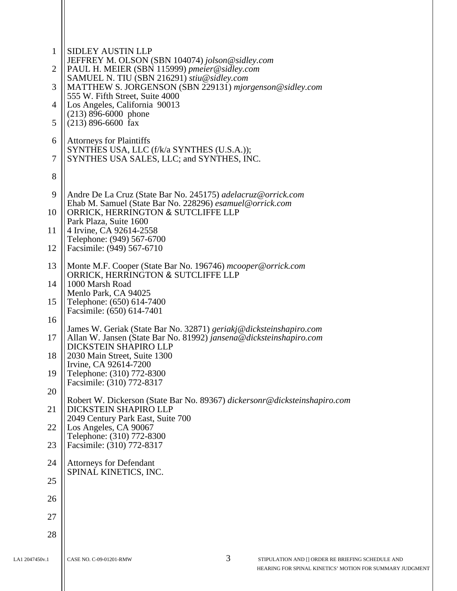| $\mathbf{1}$<br>$\overline{2}$<br>3<br>$\overline{4}$<br>5<br>6 | <b>SIDLEY AUSTIN LLP</b><br>JEFFREY M. OLSON (SBN 104074) jolson@sidley.com<br>PAUL H. MEIER (SBN 115999) pmeier@sidley.com<br>SAMUEL N. TIU (SBN 216291) stiu@sidley.com<br>MATTHEW S. JORGENSON (SBN 229131) mjorgenson@sidley.com<br>555 W. Fifth Street, Suite 4000<br>Los Angeles, California 90013<br>$(213)$ 896-6000 phone<br>$(213)$ 896-6600 fax<br><b>Attorneys for Plaintiffs</b><br>SYNTHES USA, LLC (f/k/a SYNTHES (U.S.A.)); |
|-----------------------------------------------------------------|---------------------------------------------------------------------------------------------------------------------------------------------------------------------------------------------------------------------------------------------------------------------------------------------------------------------------------------------------------------------------------------------------------------------------------------------|
| 7                                                               | SYNTHES USA SALES, LLC; and SYNTHES, INC.                                                                                                                                                                                                                                                                                                                                                                                                   |
| 8                                                               |                                                                                                                                                                                                                                                                                                                                                                                                                                             |
| 9                                                               | Andre De La Cruz (State Bar No. 245175) adelacruz@orrick.com<br>Ehab M. Samuel (State Bar No. 228296) esamuel@orrick.com                                                                                                                                                                                                                                                                                                                    |
| 10                                                              | ORRICK, HERRINGTON & SUTCLIFFE LLP<br>Park Plaza, Suite 1600                                                                                                                                                                                                                                                                                                                                                                                |
| 11                                                              | 4 Irvine, CA 92614-2558<br>Telephone: (949) 567-6700                                                                                                                                                                                                                                                                                                                                                                                        |
| 12<br>13                                                        | Facsimile: (949) 567-6710                                                                                                                                                                                                                                                                                                                                                                                                                   |
| 14                                                              | Monte M.F. Cooper (State Bar No. 196746) mcooper@orrick.com<br>ORRICK, HERRINGTON & SUTCLIFFE LLP<br>1000 Marsh Road                                                                                                                                                                                                                                                                                                                        |
| 15                                                              | Menlo Park, CA 94025<br>Telephone: (650) 614-7400                                                                                                                                                                                                                                                                                                                                                                                           |
| 16                                                              | Facsimile: (650) 614-7401                                                                                                                                                                                                                                                                                                                                                                                                                   |
| 17                                                              | James W. Geriak (State Bar No. 32871) geriakj@dicksteinshapiro.com<br>Allan W. Jansen (State Bar No. 81992) jansena@dicksteinshapiro.com                                                                                                                                                                                                                                                                                                    |
| 18                                                              | DICKSTEIN SHAPIRO LLP<br>2030 Main Street, Suite 1300                                                                                                                                                                                                                                                                                                                                                                                       |
| 19                                                              | Irvine, CA 92614-7200<br>Telephone: (310) 772-8300<br>Facsimile: (310) 772-8317                                                                                                                                                                                                                                                                                                                                                             |
| 20                                                              | Robert W. Dickerson (State Bar No. 89367) dickersonr@dicksteinshapiro.com                                                                                                                                                                                                                                                                                                                                                                   |
| 21                                                              | DICKSTEIN SHAPIRO LLP<br>2049 Century Park East, Suite 700                                                                                                                                                                                                                                                                                                                                                                                  |
| 22                                                              | Los Angeles, CA 90067<br>Telephone: (310) 772-8300                                                                                                                                                                                                                                                                                                                                                                                          |
| 23                                                              | Facsimile: (310) 772-8317                                                                                                                                                                                                                                                                                                                                                                                                                   |
| 24                                                              | <b>Attorneys for Defendant</b><br>SPINAL KINETICS, INC.                                                                                                                                                                                                                                                                                                                                                                                     |
| 25                                                              |                                                                                                                                                                                                                                                                                                                                                                                                                                             |
| 26                                                              |                                                                                                                                                                                                                                                                                                                                                                                                                                             |
| 27                                                              |                                                                                                                                                                                                                                                                                                                                                                                                                                             |
| 28                                                              |                                                                                                                                                                                                                                                                                                                                                                                                                                             |
| LA1 2047450v.1                                                  | 3<br>STIPULATION AND [] ORDER RE BRIEFING SCHEDULE AND<br>CASE NO. C-09-01201-RMW                                                                                                                                                                                                                                                                                                                                                           |